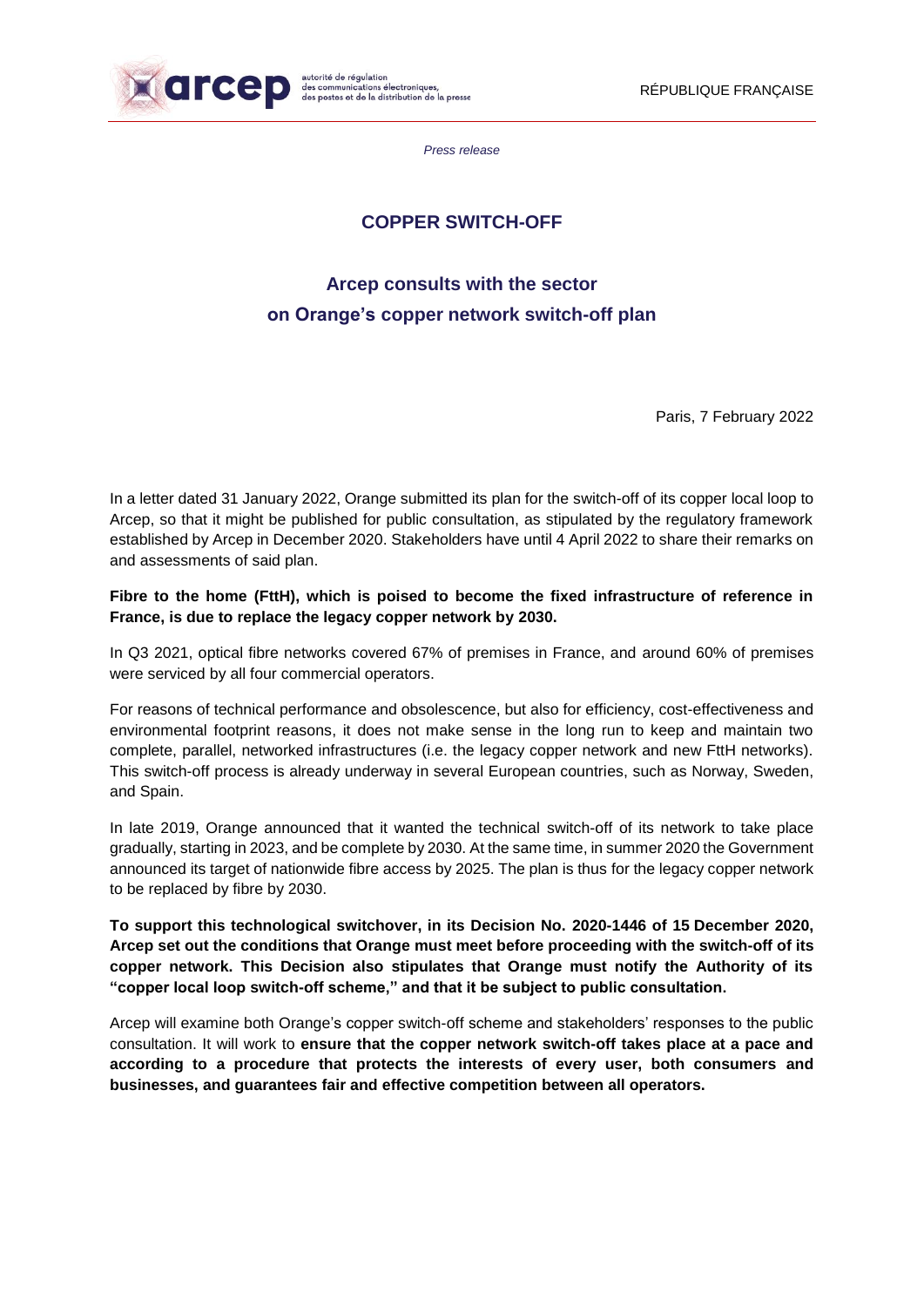

*Press release*

## **COPPER SWITCH-OFF**

# **Arcep consults with the sector on Orange's copper network switch-off plan**

Paris, 7 February 2022

In a letter dated 31 January 2022, Orange submitted its plan for the switch-off of its copper local loop to Arcep, so that it might be published for public consultation, as stipulated by the regulatory framework established by Arcep in December 2020. Stakeholders have until 4 April 2022 to share their remarks on and assessments of said plan.

**Fibre to the home (FttH), which is poised to become the fixed infrastructure of reference in France, is due to replace the legacy copper network by 2030.**

In Q3 2021, optical fibre networks covered 67% of premises in France, and around 60% of premises were serviced by all four commercial operators.

For reasons of technical performance and obsolescence, but also for efficiency, cost-effectiveness and environmental footprint reasons, it does not make sense in the long run to keep and maintain two complete, parallel, networked infrastructures (i.e. the legacy copper network and new FttH networks). This switch-off process is already underway in several European countries, such as Norway, Sweden, and Spain.

In late 2019, Orange announced that it wanted the technical switch-off of its network to take place gradually, starting in 2023, and be complete by 2030. At the same time, in summer 2020 the Government announced its target of nationwide fibre access by 2025. The plan is thus for the legacy copper network to be replaced by fibre by 2030.

**To support this technological switchover, in its Decision No. 2020-1446 of 15 December 2020, Arcep set out the conditions that Orange must meet before proceeding with the switch-off of its copper network. This Decision also stipulates that Orange must notify the Authority of its "copper local loop switch-off scheme," and that it be subject to public consultation.**

Arcep will examine both Orange's copper switch-off scheme and stakeholders' responses to the public consultation. It will work to **ensure that the copper network switch-off takes place at a pace and according to a procedure that protects the interests of every user, both consumers and businesses, and guarantees fair and effective competition between all operators.**